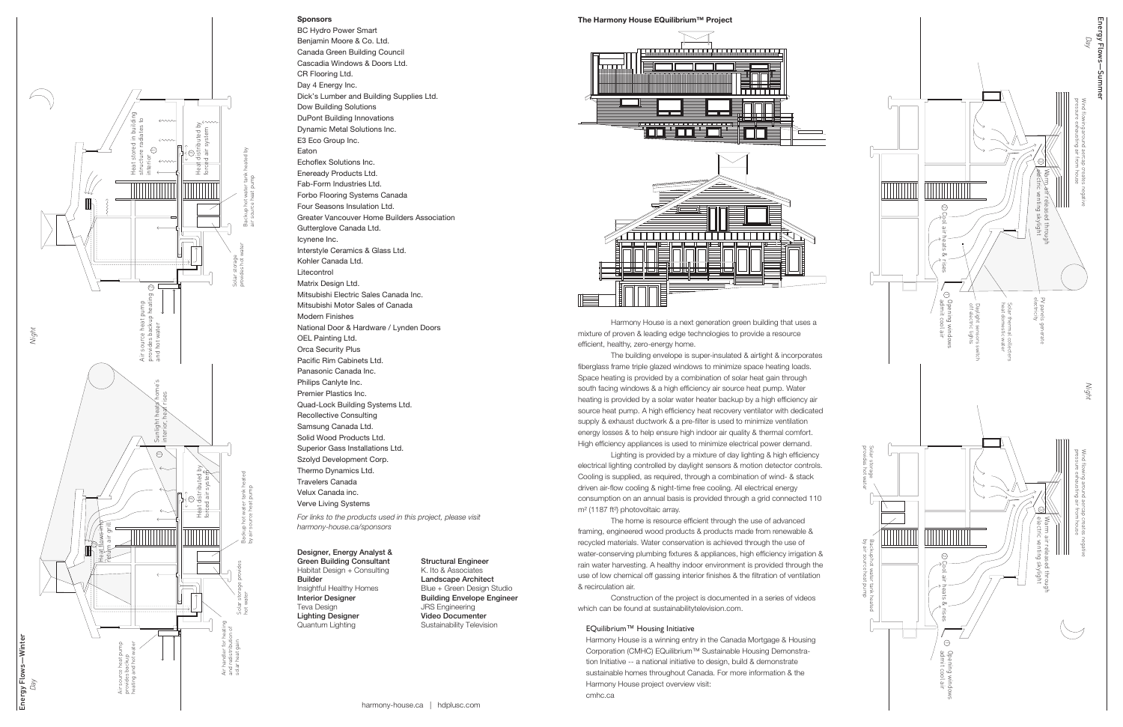# Sponsors

BC Hydro Power Smart Benjamin Moore & Co. Ltd. Canada Green Building Council Cascadia Windows & Doors Ltd. CR Flooring Ltd. Day 4 Energy Inc. Dick's Lumber and Building Supplies Ltd. Dow Building Solutions DuPont Building Innovations Dynamic Metal Solutions Inc. E3 Eco Group Inc. Eaton Echoflex Solutions Inc. Eneready Products Ltd. Fab-Form Industries Ltd. Forbo Flooring Systems Canada Four Seasons Insulation Ltd. Greater Vancouver Home Builders Association Gutterglove Canada Ltd. Icynene Inc. Interstyle Ceramics & Glass Ltd. Kohler Canada Ltd. Litecontrol Matrix Design Ltd. Mitsubishi Electric Sales Canada Inc. Mitsubishi Motor Sales of Canada Modern Finishes National Door & Hardware / Lynden Doors OEL Painting Ltd. Orca Security Plus Pacific Rim Cabinets Ltd. Panasonic Canada Inc. Philips Canlyte Inc. Premier Plastics Inc. Quad-Lock Building Systems Ltd. Recollective Consulting Samsung Canada Ltd. Solid Wood Products Ltd. Superior Gass Installations Ltd. Szolyd Development Corp. Thermo Dynamics Ltd. Travelers Canada Velux Canada inc. Verve Living Systems

*For links to the products used in this project, please visit harmony-house.ca/sponsors*

The Harmony House EQuilibrium™ Project



 Harmony House is a next generation green building that uses a mixture of proven & leading edge technologies to provide a resource efficient, healthy, zero-energy home.

 The building envelope is super-insulated & airtight & incorporates fiberglass frame triple glazed windows to minimize space heating loads. Space heating is provided by a combination of solar heat gain through south facing windows & a high efficiency air source heat pump. Water heating is provided by a solar water heater backup by a high efficiency air source heat pump. A high efficiency heat recovery ventilator with dedicated supply & exhaust ductwork & a pre-filter is used to minimize ventilation energy losses & to help ensure high indoor air quality & thermal comfort. High efficiency appliances is used to minimize electrical power demand.

Energy Flows―Winter -Winter 匞

 Lighting is provided by a mixture of day lighting & high efficiency electrical lighting controlled by daylight sensors & motion detector controls. Cooling is supplied, as required, through a combination of wind- & stack driven air-flow cooling & night-time free cooling. All electrical energy consumption on an annual basis is provided through a grid connected 110 m² (1187 ft²) photovoltaic array.

 The home is resource efficient through the use of advanced framing, engineered wood products & products made from renewable & recycled materials. Water conservation is achieved through the use of water-conserving plumbing fixtures & appliances, high efficiency irrigation & rain water harvesting. A healthy indoor environment is provided through the use of low chemical off gassing interior finishes & the filtration of ventilation & recirculation air.

 Construction of the project is documented in a series of videos which can be found at sustainabilitytelevision.com.

## EQuilibrium™ Housing Initiative

Harmony House is a winning entry in the Canada Mortgage & Housing Corporation (CMHC) EQuilibrium™ Sustainable Housing Demonstra tion Initiative -- a national initiative to design, build & demonstrate sustainable homes throughout Canada. For more information & the Harmony House project overview visit: cmhc.ca

# Designer, Energy Analyst &

Green Building Consultant Habitat Design + Consulting Builder Insightful Healthy Homes Interior Designer Teva Design Lighting Designer Quantum Lighting

## Structural Engineer K. Ito & Associates Landscape Architect Blue + Green Design Studio Building Envelope Engineer JRS Engineering Video Documenter Sustainability Television